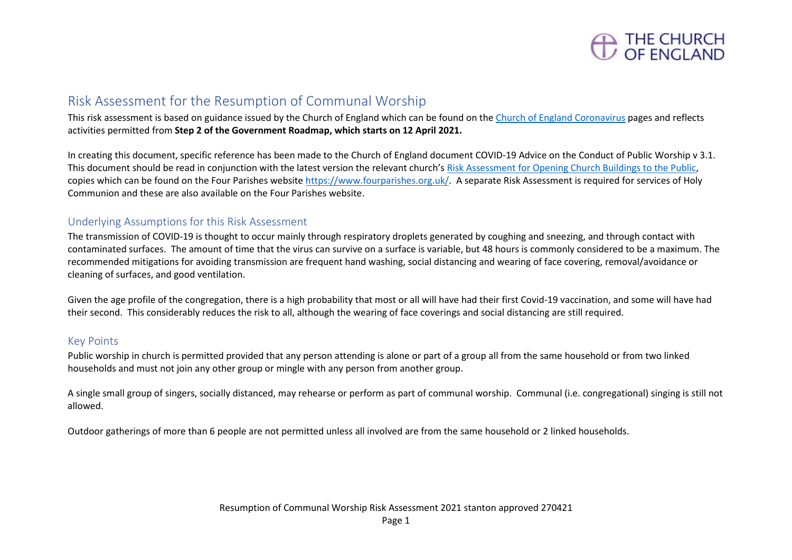

## Risk Assessment for the Resumption of Communal Worship

This risk assessment is based on guidance issued by the Church of England which can be found on the [Church of England Coronavirus](https://www.churchofengland.org/more/media-centre/coronavirus-covid-19-guidance-churches) pages and reflects activities permitted from **Step 2 of the Government Roadmap, which starts on 12 April 2021.**

In creating this document, specific reference has been made to the Church of England document COVID-19 Advice on the Conduct of Public Worship v 3.1. This document should be read in conjunction with the latest version the relevant church's [Risk Assessment for Opening Church Buildings to the Public,](https://www.fourparishes.org.uk/covid) copies which can be found on the Four Parishes websit[e https://www.fourparishes.org.uk/.](https://www.fourparishes.org.uk/) A separate Risk Assessment is required for services of Holy Communion and these are also available on the Four Parishes website.

### Underlying Assumptions for this Risk Assessment

The transmission of COVID-19 is thought to occur mainly through respiratory droplets generated by coughing and sneezing, and through contact with contaminated surfaces. The amount of time that the virus can survive on a surface is variable, but 48 hours is commonly considered to be a maximum. The recommended mitigations for avoiding transmission are frequent hand washing, social distancing and wearing of face covering, removal/avoidance or cleaning of surfaces, and good ventilation.

Given the age profile of the congregation, there is a high probability that most or all will have had their first Covid-19 vaccination, and some will have had their second. This considerably reduces the risk to all, although the wearing of face coverings and social distancing are still required.

### Key Points

Public worship in church is permitted provided that any person attending is alone or part of a group all from the same household or from two linked households and must not join any other group or mingle with any person from another group.

A single small group of singers, socially distanced, may rehearse or perform as part of communal worship. Communal (i.e. congregational) singing is still not allowed.

Outdoor gatherings of more than 6 people are not permitted unless all involved are from the same household or 2 linked households.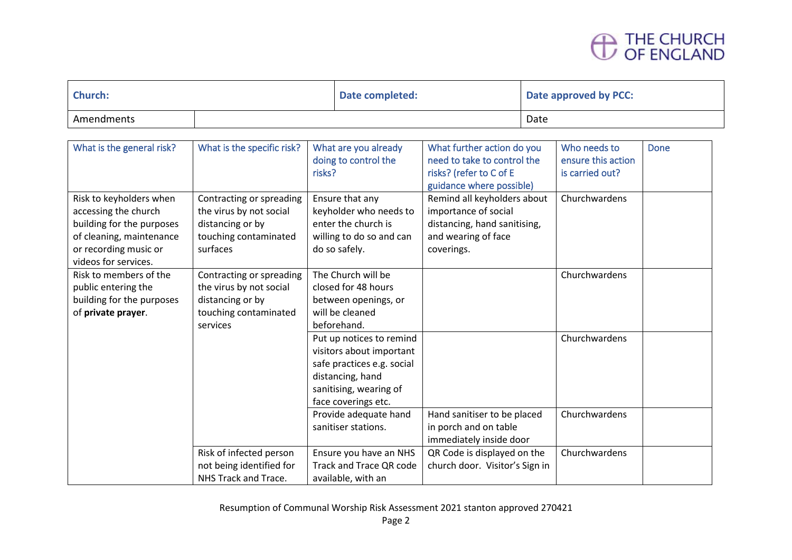# THE CHURCH<br>OF ENGLAND

| <b>Church:</b> |  | Date completed: | Date approved by PCC: |
|----------------|--|-----------------|-----------------------|
| Amendments     |  |                 | Date                  |

| What is the general risk?                                                                                                                                 | What is the specific risk?                                                                                   | What are you already<br>doing to control the<br>risks?                                                                                                  | What further action do you<br>need to take to control the<br>risks? (refer to C of E<br>guidance where possible)         | Who needs to<br>ensure this action<br>is carried out? | Done |
|-----------------------------------------------------------------------------------------------------------------------------------------------------------|--------------------------------------------------------------------------------------------------------------|---------------------------------------------------------------------------------------------------------------------------------------------------------|--------------------------------------------------------------------------------------------------------------------------|-------------------------------------------------------|------|
| Risk to keyholders when<br>accessing the church<br>building for the purposes<br>of cleaning, maintenance<br>or recording music or<br>videos for services. | Contracting or spreading<br>the virus by not social<br>distancing or by<br>touching contaminated<br>surfaces | Ensure that any<br>keyholder who needs to<br>enter the church is<br>willing to do so and can<br>do so safely.                                           | Remind all keyholders about<br>importance of social<br>distancing, hand sanitising,<br>and wearing of face<br>coverings. | Churchwardens                                         |      |
| Risk to members of the<br>public entering the<br>building for the purposes<br>of private prayer.                                                          | Contracting or spreading<br>the virus by not social<br>distancing or by<br>touching contaminated<br>services | The Church will be<br>closed for 48 hours<br>between openings, or<br>will be cleaned<br>beforehand.                                                     |                                                                                                                          | Churchwardens                                         |      |
|                                                                                                                                                           |                                                                                                              | Put up notices to remind<br>visitors about important<br>safe practices e.g. social<br>distancing, hand<br>sanitising, wearing of<br>face coverings etc. |                                                                                                                          | Churchwardens                                         |      |
|                                                                                                                                                           |                                                                                                              | Provide adequate hand<br>sanitiser stations.                                                                                                            | Hand sanitiser to be placed<br>in porch and on table<br>immediately inside door                                          | Churchwardens                                         |      |
|                                                                                                                                                           | Risk of infected person<br>not being identified for<br>NHS Track and Trace.                                  | Ensure you have an NHS<br>Track and Trace QR code<br>available, with an                                                                                 | QR Code is displayed on the<br>church door. Visitor's Sign in                                                            | Churchwardens                                         |      |

Resumption of Communal Worship Risk Assessment 2021 stanton approved 270421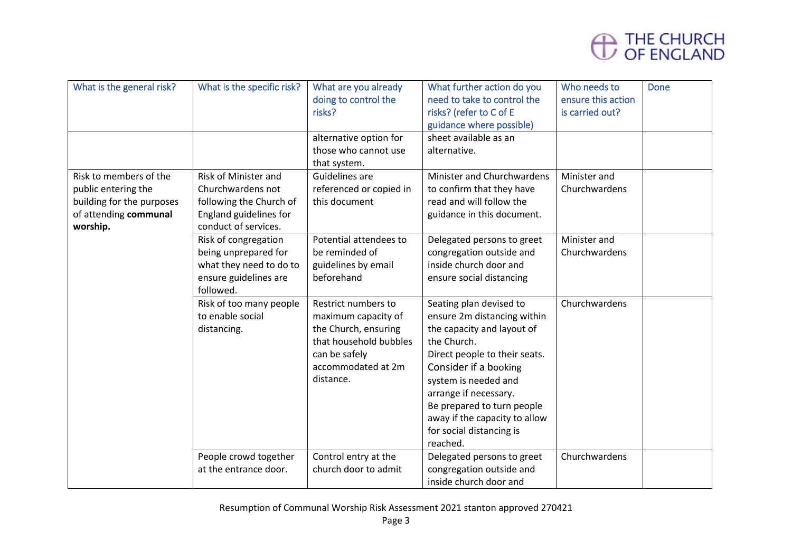

| What is the general risk? | What is the specific risk? | What are you already    | What further action do you    | Who needs to       | <b>Done</b> |
|---------------------------|----------------------------|-------------------------|-------------------------------|--------------------|-------------|
|                           |                            | doing to control the    | need to take to control the   | ensure this action |             |
|                           |                            | risks?                  | risks? (refer to C of E       | is carried out?    |             |
|                           |                            |                         | guidance where possible)      |                    |             |
|                           |                            | alternative option for  | sheet available as an         |                    |             |
|                           |                            | those who cannot use    | alternative.                  |                    |             |
|                           |                            | that system.            |                               |                    |             |
| Risk to members of the    | Risk of Minister and       | Guidelines are          | Minister and Churchwardens    | Minister and       |             |
| public entering the       | Churchwardens not          | referenced or copied in | to confirm that they have     | Churchwardens      |             |
| building for the purposes | following the Church of    | this document           | read and will follow the      |                    |             |
| of attending communal     | England guidelines for     |                         | guidance in this document.    |                    |             |
| worship.                  | conduct of services.       |                         |                               |                    |             |
|                           | Risk of congregation       | Potential attendees to  | Delegated persons to greet    | Minister and       |             |
|                           | being unprepared for       | be reminded of          | congregation outside and      | Churchwardens      |             |
|                           | what they need to do to    | guidelines by email     | inside church door and        |                    |             |
|                           | ensure guidelines are      | beforehand              | ensure social distancing      |                    |             |
|                           | followed.                  |                         |                               |                    |             |
|                           | Risk of too many people    | Restrict numbers to     | Seating plan devised to       | Churchwardens      |             |
|                           | to enable social           | maximum capacity of     | ensure 2m distancing within   |                    |             |
|                           | distancing.                | the Church, ensuring    | the capacity and layout of    |                    |             |
|                           |                            | that household bubbles  | the Church.                   |                    |             |
|                           |                            | can be safely           | Direct people to their seats. |                    |             |
|                           |                            | accommodated at 2m      | Consider if a booking         |                    |             |
|                           |                            | distance.               | system is needed and          |                    |             |
|                           |                            |                         | arrange if necessary.         |                    |             |
|                           |                            |                         | Be prepared to turn people    |                    |             |
|                           |                            |                         | away if the capacity to allow |                    |             |
|                           |                            |                         | for social distancing is      |                    |             |
|                           |                            |                         | reached.                      |                    |             |
|                           | People crowd together      | Control entry at the    | Delegated persons to greet    | Churchwardens      |             |
|                           | at the entrance door.      | church door to admit    | congregation outside and      |                    |             |
|                           |                            |                         | inside church door and        |                    |             |
|                           |                            |                         |                               |                    |             |

Resumption of Communal Worship Risk Assessment 2021 stanton approved 270421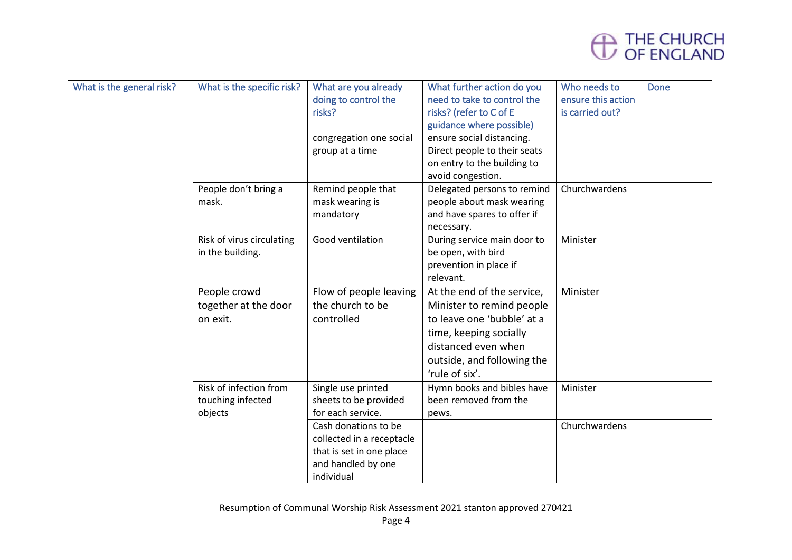

| What is the general risk? | What is the specific risk?                             | What are you already<br>doing to control the<br>risks?                                                            | What further action do you<br>need to take to control the<br>risks? (refer to C of E<br>guidance where possible)                                                                       | Who needs to<br>ensure this action<br>is carried out? | <b>Done</b> |
|---------------------------|--------------------------------------------------------|-------------------------------------------------------------------------------------------------------------------|----------------------------------------------------------------------------------------------------------------------------------------------------------------------------------------|-------------------------------------------------------|-------------|
|                           |                                                        | congregation one social<br>group at a time                                                                        | ensure social distancing.<br>Direct people to their seats<br>on entry to the building to<br>avoid congestion.                                                                          |                                                       |             |
|                           | People don't bring a<br>mask.                          | Remind people that<br>mask wearing is<br>mandatory                                                                | Delegated persons to remind<br>people about mask wearing<br>and have spares to offer if<br>necessary.                                                                                  | Churchwardens                                         |             |
|                           | Risk of virus circulating<br>in the building.          | Good ventilation                                                                                                  | During service main door to<br>be open, with bird<br>prevention in place if<br>relevant.                                                                                               | Minister                                              |             |
|                           | People crowd<br>together at the door<br>on exit.       | Flow of people leaving<br>the church to be<br>controlled                                                          | At the end of the service,<br>Minister to remind people<br>to leave one 'bubble' at a<br>time, keeping socially<br>distanced even when<br>outside, and following the<br>'rule of six'. | Minister                                              |             |
|                           | Risk of infection from<br>touching infected<br>objects | Single use printed<br>sheets to be provided<br>for each service.                                                  | Hymn books and bibles have<br>been removed from the<br>pews.                                                                                                                           | Minister                                              |             |
|                           |                                                        | Cash donations to be<br>collected in a receptacle<br>that is set in one place<br>and handled by one<br>individual |                                                                                                                                                                                        | Churchwardens                                         |             |